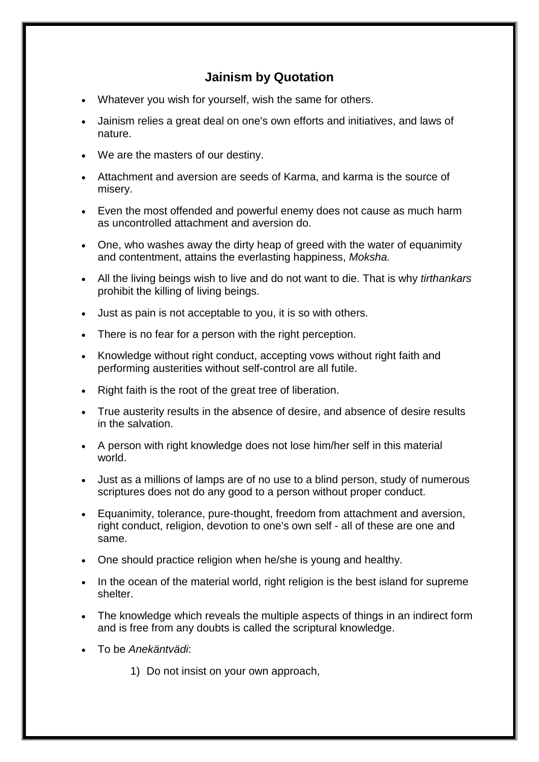## **Jainism by Quotation**

- Whatever you wish for yourself, wish the same for others.
- Jainism relies a great deal on one's own efforts and initiatives, and laws of nature.
- We are the masters of our destiny.
- Attachment and aversion are seeds of Karma, and karma is the source of misery.
- Even the most offended and powerful enemy does not cause as much harm as uncontrolled attachment and aversion do.
- One, who washes away the dirty heap of greed with the water of equanimity and contentment, attains the everlasting happiness, *Moksha.*
- All the living beings wish to live and do not want to die. That is why *tirthankars* prohibit the killing of living beings.
- Just as pain is not acceptable to you, it is so with others.
- There is no fear for a person with the right perception.
- Knowledge without right conduct, accepting vows without right faith and performing austerities without self-control are all futile.
- Right faith is the root of the great tree of liberation.
- True austerity results in the absence of desire, and absence of desire results in the salvation.
- A person with right knowledge does not lose him/her self in this material world.
- Just as a millions of lamps are of no use to a blind person, study of numerous scriptures does not do any good to a person without proper conduct.
- Equanimity, tolerance, pure-thought, freedom from attachment and aversion, right conduct, religion, devotion to one's own self - all of these are one and same.
- One should practice religion when he/she is young and healthy.
- In the ocean of the material world, right religion is the best island for supreme shelter.
- The knowledge which reveals the multiple aspects of things in an indirect form and is free from any doubts is called the scriptural knowledge.
- To be *Anekäntvädi*:
	- 1) Do not insist on your own approach,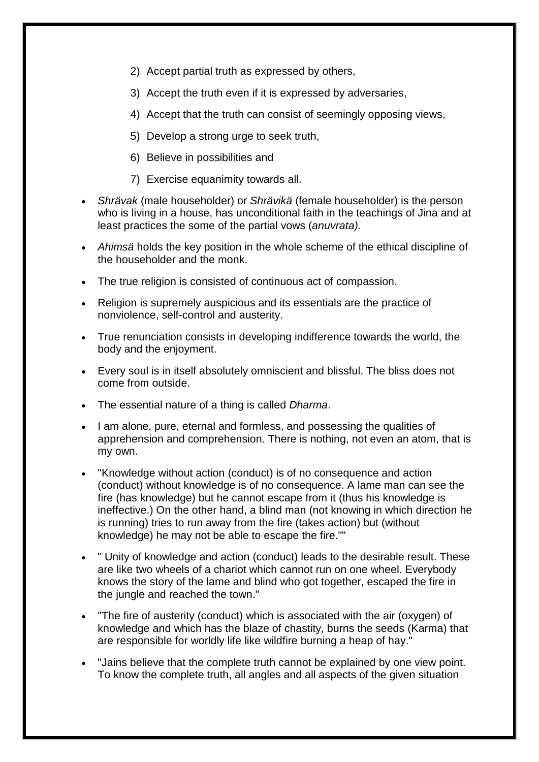- 2) Accept partial truth as expressed by others,
- 3) Accept the truth even if it is expressed by adversaries,
- 4) Accept that the truth can consist of seemingly opposing views,
- 5) Develop a strong urge to seek truth,
- 6) Believe in possibilities and
- 7) Exercise equanimity towards all.
- *Shrävak* (male householder) or *Shrävikä* (female householder) is the person who is living in a house, has unconditional faith in the teachings of Jina and at least practices the some of the partial vows (*anuvrata).*
- *Ahimsä* holds the key position in the whole scheme of the ethical discipline of the householder and the monk.
- The true religion is consisted of continuous act of compassion.
- Religion is supremely auspicious and its essentials are the practice of nonviolence, self-control and austerity.
- True renunciation consists in developing indifference towards the world, the body and the enjoyment.
- Every soul is in itself absolutely omniscient and blissful. The bliss does not come from outside.
- The essential nature of a thing is called *Dharma*.
- I am alone, pure, eternal and formless, and possessing the qualities of apprehension and comprehension. There is nothing, not even an atom, that is my own.
- "Knowledge without action (conduct) is of no consequence and action (conduct) without knowledge is of no consequence. A lame man can see the fire (has knowledge) but he cannot escape from it (thus his knowledge is ineffective.) On the other hand, a blind man (not knowing in which direction he is running) tries to run away from the fire (takes action) but (without knowledge) he may not be able to escape the fire.""
- " Unity of knowledge and action (conduct) leads to the desirable result. These are like two wheels of a chariot which cannot run on one wheel. Everybody knows the story of the lame and blind who got together, escaped the fire in the jungle and reached the town."
- "The fire of austerity (conduct) which is associated with the air (oxygen) of knowledge and which has the blaze of chastity, burns the seeds (Karma) that are responsible for worldly life like wildfire burning a heap of hay."
- "Jains believe that the complete truth cannot be explained by one view point. To know the complete truth, all angles and all aspects of the given situation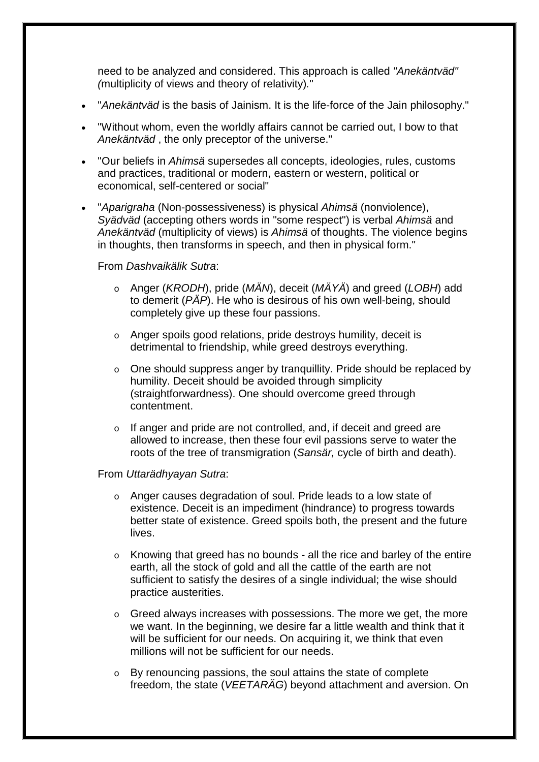need to be analyzed and considered. This approach is called *"Anekäntväd" (*multiplicity of views and theory of relativity)*.*"

- "*Anekäntväd* is the basis of Jainism. It is the life-force of the Jain philosophy."
- "Without whom, even the worldly affairs cannot be carried out, I bow to that *Anekäntväd* , the only preceptor of the universe."
- "Our beliefs in *Ahimsä* supersedes all concepts, ideologies, rules, customs and practices, traditional or modern, eastern or western, political or economical, self-centered or social"
- "*Aparigraha* (Non-possessiveness) is physical *Ahimsä* (nonviolence), *Syädväd* (accepting others words in "some respect") is verbal *Ahimsä* and *Anekäntväd* (multiplicity of views) is *Ahimsä* of thoughts. The violence begins in thoughts, then transforms in speech, and then in physical form."

## From *Dashvaikälik Sutra*:

- o Anger (*KRODH*), pride (*MÄN*), deceit (*MÄYÄ*) and greed (*LOBH*) add to demerit (*PÄP*). He who is desirous of his own well-being, should completely give up these four passions.
- o Anger spoils good relations, pride destroys humility, deceit is detrimental to friendship, while greed destroys everything.
- o One should suppress anger by tranquillity. Pride should be replaced by humility. Deceit should be avoided through simplicity (straightforwardness). One should overcome greed through contentment.
- o If anger and pride are not controlled, and, if deceit and greed are allowed to increase, then these four evil passions serve to water the roots of the tree of transmigration (*Sansär,* cycle of birth and death).

## From *Uttarädhyayan Sutra*:

- o Anger causes degradation of soul. Pride leads to a low state of existence. Deceit is an impediment (hindrance) to progress towards better state of existence. Greed spoils both, the present and the future lives.
- o Knowing that greed has no bounds all the rice and barley of the entire earth, all the stock of gold and all the cattle of the earth are not sufficient to satisfy the desires of a single individual; the wise should practice austerities.
- o Greed always increases with possessions. The more we get, the more we want. In the beginning, we desire far a little wealth and think that it will be sufficient for our needs. On acquiring it, we think that even millions will not be sufficient for our needs.
- o By renouncing passions, the soul attains the state of complete freedom, the state (*VEETARÄG*) beyond attachment and aversion. On